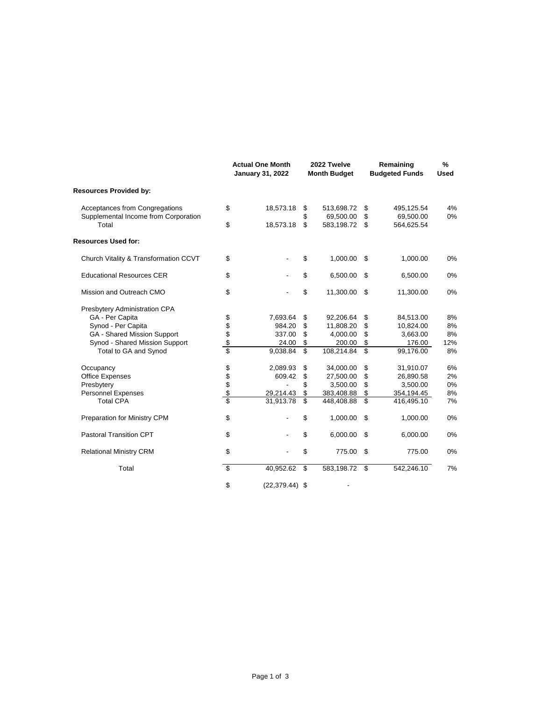|                                               |            | <b>Actual One Month</b><br><b>January 31, 2022</b> |          | 2022 Twelve<br><b>Month Budget</b> |          | Remaining<br><b>Budgeted Funds</b> | $\frac{9}{6}$<br><b>Used</b> |
|-----------------------------------------------|------------|----------------------------------------------------|----------|------------------------------------|----------|------------------------------------|------------------------------|
| <b>Resources Provided by:</b>                 |            |                                                    |          |                                    |          |                                    |                              |
| Acceptances from Congregations                | \$         | 18,573.18                                          | \$       | 513,698.72                         | \$       | 495,125.54                         | 4%                           |
| Supplemental Income from Corporation<br>Total | \$         | 18,573.18                                          | \$<br>\$ | 69,500.00<br>583,198.72            | \$<br>\$ | 69,500.00<br>564,625.54            | 0%                           |
| <b>Resources Used for:</b>                    |            |                                                    |          |                                    |          |                                    |                              |
| Church Vitality & Transformation CCVT         | \$         |                                                    | \$       | 1,000.00                           | \$       | 1,000.00                           | 0%                           |
| <b>Educational Resources CER</b>              | \$         |                                                    | \$       | 6,500.00                           | \$       | 6,500.00                           | 0%                           |
| Mission and Outreach CMO                      | \$         |                                                    | \$       | 11,300.00                          | \$       | 11,300.00                          | 0%                           |
| Presbytery Administration CPA                 |            |                                                    |          |                                    |          |                                    |                              |
| GA - Per Capita                               |            | 7,693.64                                           | \$       | 92,206.64                          | \$       | 84,513.00                          | 8%                           |
| Synod - Per Capita                            | \$\$\$\$\$ | 984.20                                             | \$       | 11,808.20                          | \$       | 10,824.00                          | 8%                           |
| GA - Shared Mission Support                   |            | 337.00                                             | \$       | 4,000.00                           | \$       | 3,663.00                           | 8%                           |
| Synod - Shared Mission Support                |            | 24.00                                              | \$       | 200.00                             | \$       | 176.00                             | 12%                          |
| Total to GA and Synod                         |            | 9,038.84                                           | \$       | 108,214.84                         | \$       | 99,176.00                          | 8%                           |
| Occupancy                                     |            | 2,089.93                                           | \$       | 34,000.00                          | \$       | 31,910.07                          | 6%                           |
| <b>Office Expenses</b>                        |            | 609.42                                             | \$       | 27,500.00                          | \$       | 26,890.58                          | 2%                           |
| Presbytery                                    |            | ÷                                                  | \$       | 3,500.00                           | \$       | 3,500.00                           | 0%                           |
| <b>Personnel Expenses</b>                     | \$\$\$\$\$ | 29,214.43                                          | \$       | 383,408.88                         | \$       | 354,194.45                         | 8%                           |
| <b>Total CPA</b>                              |            | 31,913.78                                          | \$       | 448,408.88                         | \$       | 416,495.10                         | 7%                           |
| Preparation for Ministry CPM                  | \$         |                                                    | \$       | 1,000.00                           | \$       | 1,000.00                           | 0%                           |
| <b>Pastoral Transition CPT</b>                | \$         |                                                    | \$       | 6,000.00                           | \$       | 6,000.00                           | 0%                           |
| <b>Relational Ministry CRM</b>                | \$         |                                                    | \$       | 775.00                             | \$       | 775.00                             | 0%                           |
| Total                                         | \$         | 40,952.62                                          | \$       | 583,198.72                         | \$       | 542,246.10                         | 7%                           |
|                                               | \$         | $(22, 379.44)$ \$                                  |          |                                    |          |                                    |                              |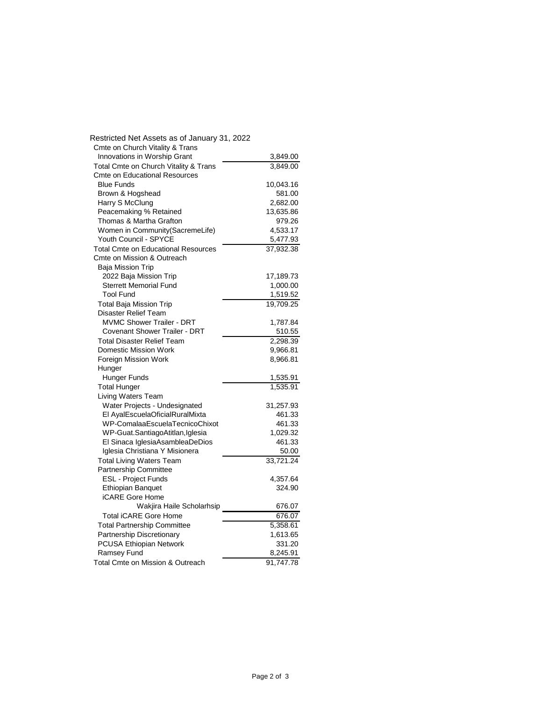| Restricted Net Assets as of January 31, 2022                             |                    |
|--------------------------------------------------------------------------|--------------------|
| Cmte on Church Vitality & Trans                                          |                    |
| Innovations in Worship Grant                                             | 3,849.00           |
| Total Cmte on Church Vitality & Trans                                    | 3,849.00           |
| <b>Cmte on Educational Resources</b>                                     |                    |
| <b>Blue Funds</b>                                                        | 10,043.16          |
| Brown & Hogshead                                                         | 581.00             |
| Harry S McClung                                                          | 2,682.00           |
| Peacemaking % Retained                                                   | 13,635.86          |
| Thomas & Martha Grafton                                                  | 979.26             |
| Women in Community (SacremeLife)                                         | 4,533.17           |
| Youth Council - SPYCE                                                    | 5,477.93           |
| <b>Total Cmte on Educational Resources</b><br>Cmte on Mission & Outreach | 37,932.38          |
| <b>Baja Mission Trip</b>                                                 |                    |
| 2022 Baja Mission Trip                                                   | 17,189.73          |
| <b>Sterrett Memorial Fund</b>                                            | 1,000.00           |
| <b>Tool Fund</b>                                                         | 1,519.52           |
| <b>Total Baja Mission Trip</b>                                           | 19,709.25          |
| <b>Disaster Relief Team</b>                                              |                    |
| <b>MVMC Shower Trailer - DRT</b>                                         | 1,787.84           |
| Covenant Shower Trailer - DRT                                            | 510.55             |
| <b>Total Disaster Relief Team</b>                                        | 2.298.39           |
| Domestic Mission Work                                                    | 9,966.81           |
| Foreign Mission Work                                                     | 8,966.81           |
| Hunger                                                                   |                    |
| Hunger Funds                                                             | 1,535.91           |
| <b>Total Hunger</b>                                                      | 1,535.91           |
| <b>Living Waters Team</b>                                                |                    |
| Water Projects - Undesignated                                            | 31,257.93          |
| El AyalEscuelaOficialRuralMixta<br>WP-ComalaaEscuelaTecnicoChixot        | 461.33             |
| WP-Guat.SantiagoAtitlan,Iglesia                                          | 461.33<br>1,029.32 |
| El Sinaca IglesiaAsambleaDeDios                                          | 461.33             |
| Iglesia Christiana Y Misionera                                           | 50.00              |
| <b>Total Living Waters Team</b>                                          | 33,721.24          |
| Partnership Committee                                                    |                    |
| <b>ESL - Project Funds</b>                                               | 4,357.64           |
| <b>Ethiopian Banquet</b>                                                 | 324.90             |
| <b>iCARE Gore Home</b>                                                   |                    |
| Wakjira Haile Scholarhsip                                                | 676.07             |
| <b>Total iCARE Gore Home</b>                                             | 676.07             |
| <b>Total Partnership Committee</b>                                       | 5,358.61           |
| Partnership Discretionary                                                | 1,613.65           |
| PCUSA Ethiopian Network                                                  | 331.20             |
| Ramsey Fund                                                              | 8,245.91           |
| Total Cmte on Mission & Outreach                                         | 91,747.78          |